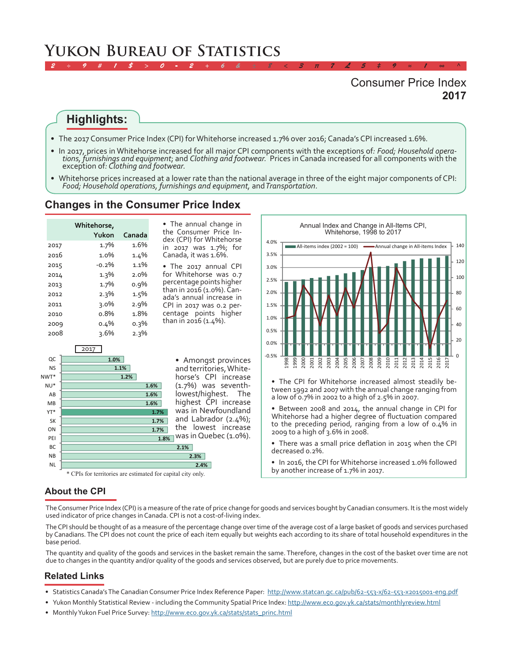# **Yukon Bureau of Statistics**

## **2017** Consumer Price Index

#### **Highlights:**

- The 2017 Consumer Price Index (CPI) for Whitehorse increased 1.7% over 2016; Canada's CPI increased 1.6%.
- In 2017, prices in Whitehorse increased for all major CPI components with the exceptions of: Food; Household operations, furnishings and equipment; and Clothing and footwear. Prices in Canada increased for all components

*2 ÷ 9 # 1 \$ > 0 - 2 + 6 & ± 8 < 3 π 7 £ 5 ‡ 9 ≈ 1 ∞ ^*

•  Whitehorse prices increased at a lower rate than the national average in three of the eight major components of CPI: *Food; Household operations, furnishings and equipment,* and *Transportation*.

#### **Changes in the Consumer Price Index**

|      | Whitehorse, |         |
|------|-------------|---------|
|      | Yukon       | Canada  |
| 2017 | 1.7%        | 1.6%    |
| 2016 | 1.0%        | $1.4\%$ |
| 2015 | $-0.2\%$    | 1.1%    |
| 2014 | 1.3%        | $2.0\%$ |
| 2013 | 1.7%        | 0.9%    |
| 2012 | 2.3%        | 1.5%    |
| 2011 | $3.0\%$     | 2.9%    |
| 2010 | o.8%        | 1.8%    |
| 2009 | 0.4%        | 0.3%    |
| 2008 | 3.6%        | 2.3%    |

• The annual change in the Consumer Price Index (CPI) for Whitehorse in 2017 was 1.7%; for Canada, it was 1.6%.

• The 2017 annual CPI for Whitehorse was 0.7 percentage points higher than in 2016 (1.0%). Canada's annual increase in CPI in 2017 was 0.2 percentage points higher than in 2016 (1.4%).





Annual Index and Change in All-Items CPI, Whitehorse, 1998 to 2017

tween 1992 and 2007 with the annual change ranging from a low of 0.7% in 2002 to a high of 2.5% in 2007.

• Between 2008 and 2014, the annual change in CPI for Whitehorse had a higher degree of fluctuation compared to the preceding period, ranging from a low of 0.4% in 2009 to a high of 3.6% in 2008.

- There was a small price deflation in 2015 when the CPI decreased 0.2%.
- In 2016, the CPI for Whitehorse increased 1.0% followed<br>by another increase of 1.7% in 2017.

#### **About the CPI**

The Consumer Price Index (CPI) is a measure of the rate of price change for goods and services bought by Canadian consumers. It is the most widely used indicator of price changes in Canada. CPI is not a cost-of-living index.

The CPI should be thought of as a measure of the percentage change over time of the average cost of a large basket of goods and services purchased by Canadians. The CPI does not count the price of each item equally but weights each according to its share of total household expenditures in the base period.

The quantity and quality of the goods and services in the basket remain the same. Therefore, changes in the cost of the basket over time are not due to changes in the quantity and/or quality of the goods and services observed, but are purely due to price movements.

#### **Related Links**

- Statistics Canada's The Canadian Consumer Price Index Reference Paper: <http://www.statcan.gc.ca/pub/62-553-x/62-553-x2015001-eng.pdf>
- Yukon Monthly Statistical Review including the Community Spatial Price Index:<http://www.eco.gov.yk.ca/stats/monthlyreview.html>
- Monthly Yukon Fuel Price Survey: [http://www.eco.gov.yk.ca/stats/stats\\_princ.html](http://www.eco.gov.yk.ca/stats/stats_princ.html)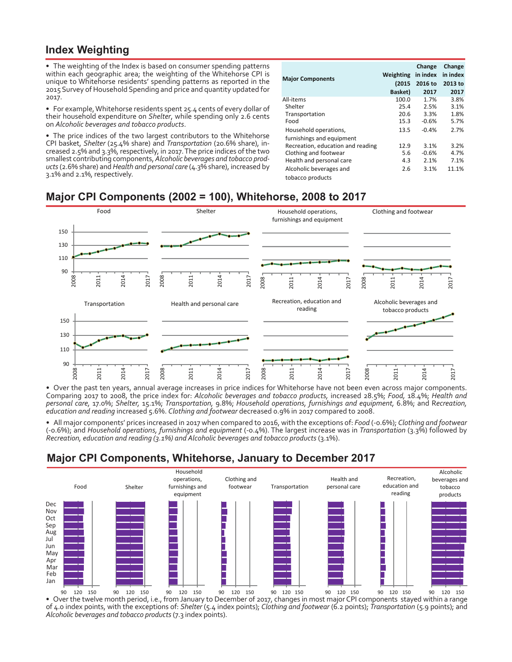#### **Index Weighting**

• The weighting of the Index is based on consumer spending patterns within each geographic area; the weighting of the Whitehorse CPI is unique to Whitehorse residents' spending patterns as reported in the 2015 Survey of Household Spending and price and quantity updated for 2017.

• For example, Whitehorse residents spent 25.4 cents of every dollar of their household expenditure on *Shelter*, while spending only 2.6 cents on *Alcoholic beverages and tobacco products*.

• The price indices of the two largest contributors to the Whitehorse CPI basket, *Shelter* (25.4% share) and *Transportation* (20.6% share), increased 2.5% and 3.3%, respectively, in 2017. The price indices of the two smallest contributing components, *Alcoholic beverages and tobacco products* (2.6% share) and *Health and personal care* (4.3% share), increased by 3.1% and 2.1%, respectively.

| <b>Major Components</b>           | Weighting<br>(2015) | Change<br>in index<br>2016 to | Change<br>in index<br>2013 to |
|-----------------------------------|---------------------|-------------------------------|-------------------------------|
|                                   | Basket)             | 2017                          | 2017                          |
| All-items                         | 100.0               | 1.7%                          | 3.8%                          |
| Shelter                           | 25.4                | 2.5%                          | 3.1%                          |
| Transportation                    | 20.6                | 3.3%                          | 1.8%                          |
| Food                              | 15.3                | $-0.6%$                       | 5.7%                          |
| Household operations,             | 13.5                | $-0.4%$                       | 2.7%                          |
| furnishings and equipment         |                     |                               |                               |
| Recreation, education and reading | 12.9                | 3.1%                          | 3.2%                          |
| Clothing and footwear             | 5.6                 | $-0.6%$                       | 4.7%                          |
| Health and personal care          | 4.3                 | 2.1%                          | 7.1%                          |
| Alcoholic beverages and           | 2.6                 | 3.1%                          | 11.1%                         |
| tobacco products                  |                     |                               |                               |

## **Major CPI Components (2002 = 100), Whitehorse, 2008 to 2017**



•  Over the past ten years, annual average increases in price indices for Whitehorse have not been even across major components. Comparing 2017 to 2008, the price index for: *Alcoholic beverages and tobacco products,* increased 28.5%; *Food,* 18.4%; *Health and personal care,* 17.0%; *Shelter,* 15.1%; *Transportation,* 9.8%; *Household operations, furnishings and equipment,* 6.8%; and R*ecreation, education and reading* increased 5.6%. *Clothing and footwear* decreased 0.9% in 2017 compared to 2008.

•  All major components' prices increased in 2017 when compared to 2016, with the exceptions of: *Food* (-0.6%); *Clothing and footwear* (-0.6%); and *Household operations, furnishings and equipment* (-0.4%). The largest increase was in *Transportation* (3.3%) followed by *Recreation, education and reading (3.1%) and Alcoholic beverages and tobacco products* (3.1%).

# **Major CPI Components, Whitehorse, January to December 2017**



•  Over the twelve month period, i.e., from January to December of 2017, changes in most major CPI components stayed within a range of 4.0 index points, with the exceptions of: *Shelter* (5.4 index points); *Clothing and footwear* (6.2 points); *Transportation* (5.9 points); and *Alcoholic beverages and tobacco products* (7.3 index points).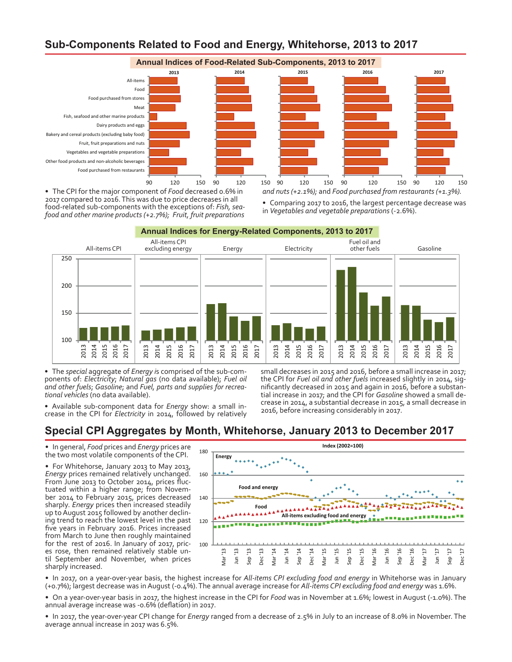# **Sub-Components Related to Food and Energy, Whitehorse, 2013 to 2017**



•  The CPI for the major component of *Food* decreased 0.6% in 2017 compared to 2016. This was due to price decreases in all food-related sub-components with the exceptions of: Fish, seafood and other marine products (+2.7%); Fruit, fruit preparations

•  Comparing 2017 to 2016, the largest percentage decrease was in *Vegetables and vegetable preparations* (-2.6%).

**Annual Indices for Energy-Related Components, 2013 to 2017**



•  The *special* aggregate of *Energy i*s comprised of the sub-components of: *Electricity*; *Natural gas* (no data available); *Fuel oil and other fuels*; *Gasoline*; and *Fuel, parts and supplies for recreational vehicles* (no data available).

•  Available sub-component data for *Energy* show: a small in- crease in the CPI for *Electricity* in 2014, followed by relatively

small decreases in 2015 and 2016, before a small increase in 2017; the CPI for *Fuel oil and other fuels* increased slightly in 2014, significantly decreased in 2015 and again in 2016, before a substantial increase in 2017; and the CPI for *Gasoline* showed a small decrease in 2014, a substantial decrease in 2015, a small decrease in 2016, before increasing considerably in 2017.

#### **Special CPI Aggregates by Month, Whitehorse, January 2013 to December 2017**

•  In general, *Food* prices and *Energy* prices are the two most volatile components of the CPI.

• For Whitehorse, January 2013 to May 2013, *Energy* prices remained relatively unchanged.<br>From June 2013 to October 2014, prices fluctuated within a higher range; from Novem-<br>ber 2014 to February 2015, prices decreased sharply. *Energy* prices then increased steadily up to August 2015 followed by another declin- ing trend to reach the lowest level in the past five years in February 2016. Prices increased from March to June then roughly maintained for the rest of 2016. In January of 2017, pric- es rose, then remained relatively stable un- til September and November, when prices sharply increased.



•  In 2017, on a year-over-year basis, the highest increase for *All-items CPI excluding food and energy* in Whitehorse was in January (+0.7%); largest decrease was in August (-0.4%). The annual average increase for *All-items CPI excluding food and energy* was 1.6%.

•  On a year-over-year basis in 2017, the highest increase in the CPI for *Food* was in November at 1.6%; lowest in August (-1.0%). The annual average increase was -0.6% (deflation) in 2017.

•  In 2017, the year-over-year CPI change for *Energy* ranged from a decrease of 2.5% in July to an increase of 8.0% in November. The average annual increase in 2017 was 6.5%.